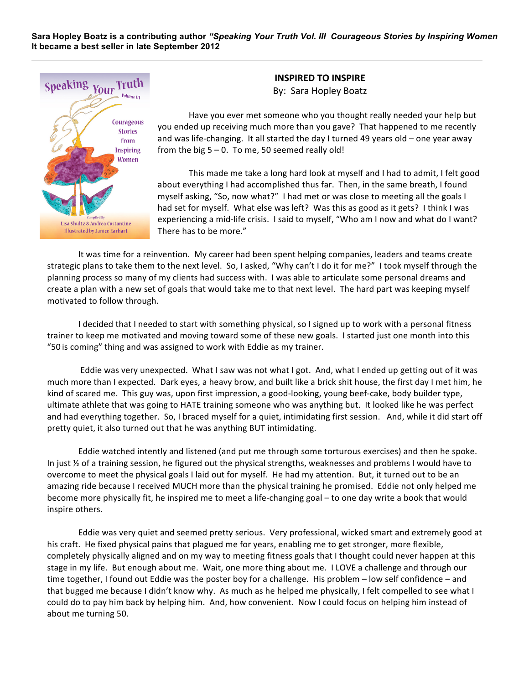**Sara Hopley Boatz is a contributing author** *"Speaking Your Truth Vol. III Courageous Stories by Inspiring Women* **It became a best seller in late September 2012**



**INSPIRED TO INSPIRE** By: Sara Hopley Boatz

Have you ever met someone who you thought really needed your help but you ended up receiving much more than you gave? That happened to me recently and was life-changing. It all started the day I turned 49 years old  $-$  one year away from the big  $5 - 0$ . To me, 50 seemed really old!

This made me take a long hard look at myself and I had to admit, I felt good about everything I had accomplished thus far. Then, in the same breath, I found myself asking, "So, now what?" I had met or was close to meeting all the goals I had set for myself. What else was left? Was this as good as it gets? I think I was experiencing a mid-life crisis. I said to myself, "Who am I now and what do I want? There has to be more."

It was time for a reinvention. My career had been spent helping companies, leaders and teams create strategic plans to take them to the next level. So, I asked, "Why can't I do it for me?" I took myself through the planning process so many of my clients had success with. I was able to articulate some personal dreams and create a plan with a new set of goals that would take me to that next level. The hard part was keeping myself motivated to follow through.

I decided that I needed to start with something physical, so I signed up to work with a personal fitness trainer to keep me motivated and moving toward some of these new goals. I started just one month into this "50 is coming" thing and was assigned to work with Eddie as my trainer.

Eddie was very unexpected. What I saw was not what I got. And, what I ended up getting out of it was much more than I expected. Dark eyes, a heavy brow, and built like a brick shit house, the first day I met him, he kind of scared me. This guy was, upon first impression, a good-looking, young beef-cake, body builder type, ultimate athlete that was going to HATE training someone who was anything but. It looked like he was perfect and had everything together. So, I braced myself for a quiet, intimidating first session. And, while it did start off pretty quiet, it also turned out that he was anything BUT intimidating.

Eddie watched intently and listened (and put me through some torturous exercises) and then he spoke. In just  $\frac{1}{2}$  of a training session, he figured out the physical strengths, weaknesses and problems I would have to overcome to meet the physical goals I laid out for myself. He had my attention. But, it turned out to be an amazing ride because I received MUCH more than the physical training he promised. Eddie not only helped me become more physically fit, he inspired me to meet a life-changing goal – to one day write a book that would inspire others.

Eddie was very quiet and seemed pretty serious. Very professional, wicked smart and extremely good at his craft. He fixed physical pains that plagued me for years, enabling me to get stronger, more flexible, completely physically aligned and on my way to meeting fitness goals that I thought could never happen at this stage in my life. But enough about me. Wait, one more thing about me. I LOVE a challenge and through our time together, I found out Eddie was the poster boy for a challenge. His problem - low self confidence - and that bugged me because I didn't know why. As much as he helped me physically, I felt compelled to see what I could do to pay him back by helping him. And, how convenient. Now I could focus on helping him instead of about me turning 50.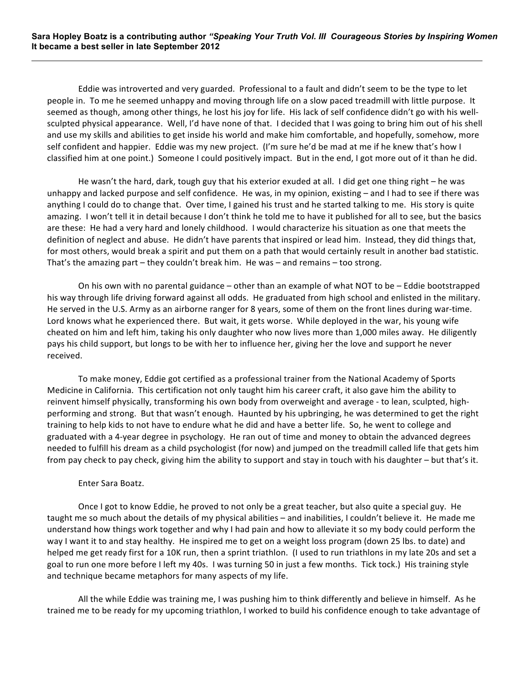Eddie was introverted and very guarded. Professional to a fault and didn't seem to be the type to let people in. To me he seemed unhappy and moving through life on a slow paced treadmill with little purpose. It seemed as though, among other things, he lost his joy for life. His lack of self confidence didn't go with his wellsculpted physical appearance. Well, I'd have none of that. I decided that I was going to bring him out of his shell and use my skills and abilities to get inside his world and make him comfortable, and hopefully, somehow, more self confident and happier. Eddie was my new project. (I'm sure he'd be mad at me if he knew that's how I classified him at one point.) Someone I could positively impact. But in the end, I got more out of it than he did.

He wasn't the hard, dark, tough guy that his exterior exuded at all. I did get one thing right  $-$  he was unhappy and lacked purpose and self confidence. He was, in my opinion, existing  $-$  and I had to see if there was anything I could do to change that. Over time, I gained his trust and he started talking to me. His story is quite amazing. I won't tell it in detail because I don't think he told me to have it published for all to see, but the basics are these: He had a very hard and lonely childhood. I would characterize his situation as one that meets the definition of neglect and abuse. He didn't have parents that inspired or lead him. Instead, they did things that, for most others, would break a spirit and put them on a path that would certainly result in another bad statistic. That's the amazing part  $-$  they couldn't break him. He was  $-$  and remains  $-$  too strong.

On his own with no parental guidance – other than an example of what NOT to be – Eddie bootstrapped his way through life driving forward against all odds. He graduated from high school and enlisted in the military. He served in the U.S. Army as an airborne ranger for 8 years, some of them on the front lines during war-time. Lord knows what he experienced there. But wait, it gets worse. While deployed in the war, his young wife cheated on him and left him, taking his only daughter who now lives more than 1,000 miles away. He diligently pays his child support, but longs to be with her to influence her, giving her the love and support he never received.

To make money, Eddie got certified as a professional trainer from the National Academy of Sports Medicine in California. This certification not only taught him his career craft, it also gave him the ability to reinvent himself physically, transforming his own body from overweight and average - to lean, sculpted, highperforming and strong. But that wasn't enough. Haunted by his upbringing, he was determined to get the right training to help kids to not have to endure what he did and have a better life. So, he went to college and graduated with a 4-year degree in psychology. He ran out of time and money to obtain the advanced degrees needed to fulfill his dream as a child psychologist (for now) and jumped on the treadmill called life that gets him from pay check to pay check, giving him the ability to support and stay in touch with his daughter – but that's it.

## Enter Sara Boatz.

Once I got to know Eddie, he proved to not only be a great teacher, but also quite a special guy. He taught me so much about the details of my physical abilities – and inabilities, I couldn't believe it. He made me understand how things work together and why I had pain and how to alleviate it so my body could perform the way I want it to and stay healthy. He inspired me to get on a weight loss program (down 25 lbs. to date) and helped me get ready first for a 10K run, then a sprint triathlon. (I used to run triathlons in my late 20s and set a goal to run one more before I left my 40s. I was turning 50 in just a few months. Tick tock.) His training style and technique became metaphors for many aspects of my life.

All the while Eddie was training me, I was pushing him to think differently and believe in himself. As he trained me to be ready for my upcoming triathlon, I worked to build his confidence enough to take advantage of